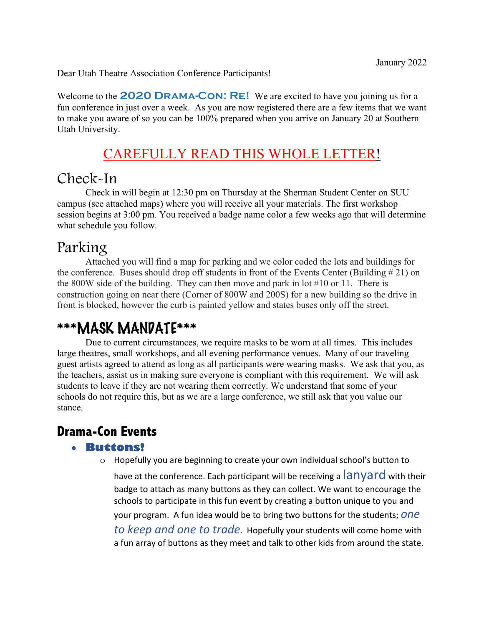Dear Utah Theatre Association Conference Participants!

Welcome to the **2020 Drama-Con: Re!** We are excited to have you joining us for a fun conference in just over a week. As you are now registered there are a few items that we want to make you aware of so you can be 100% prepared when you arrive on January 20 at Southern Utah University.

## CAREFULLY READ THIS WHOLE LETTER!

## Check-In

Check in will begin at 12:30 pm on Thursday at the Sherman Student Center on SUU campus (see attached maps) where you will receive all your materials. The first workshop session begins at 3:00 pm. You received a badge name color a few weeks ago that will determine what schedule you follow.

## Parking

Attached you will find a map for parking and we color coded the lots and buildings for the conference. Buses should drop off students in front of the Events Center (Building  $\# 21$ ) on the 800W side of the building. They can then move and park in lot #10 or 11. There is construction going on near there (Corner of 800W and 200S) for a new building so the drive in front is blocked, however the curb is painted yellow and states buses only off the street.

## \*\*\*MASK MANDATE\*\*\*

Due to current circumstances, we require masks to be worn at all times. This includes large theatres, small workshops, and all evening performance venues. Many of our traveling guest artists agreed to attend as long as all participants were wearing masks. We ask that you, as the teachers, assist us in making sure everyone is compliant with this requirement. We will ask students to leave if they are not wearing them correctly. We understand that some of your schools do not require this, but as we are a large conference, we still ask that you value our stance.

## **Drama-Con Events**

#### • **Buttons!**

o Hopefully you are beginning to create your own individual school's button to

have at the conference. Each participant will be receiving a  $\lambda$  any and with their badge to attach as many buttons as they can collect. We want to encourage the schools to participate in this fun event by creating a button unique to you and your program. A fun idea would be to bring two buttons for the students; *one to keep and one to trade*. Hopefully your students will come home with a fun array of buttons as they meet and talk to other kids from around the state.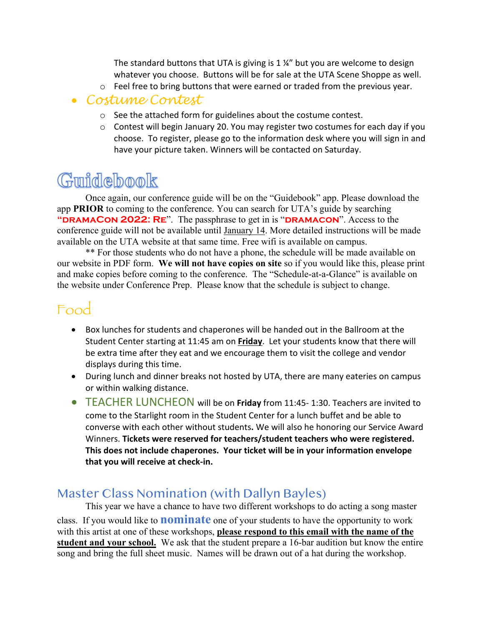The standard buttons that UTA is giving is 1 ¼" but you are welcome to design whatever you choose. Buttons will be for sale at the UTA Scene Shoppe as well.

o Feel free to bring buttons that were earned or traded from the previous year.

#### • *Costume Contest*

- o See the attached form for guidelines about the costume contest.
- $\circ$  Contest will begin January 20. You may register two costumes for each day if you choose. To register, please go to the information desk where you will sign in and have your picture taken. Winners will be contacted on Saturday.

# Guidebook

Once again, our conference guide will be on the "Guidebook" app. Please download the app **PRIOR** to coming to the conference. You can search for UTA's guide by searching **"DRAMACON 2022: RE".** The passphrase to get in is "**DRAMACON**". Access to the conference guide will not be available until January 14. More detailed instructions will be made available on the UTA website at that same time. Free wifi is available on campus.

\*\* For those students who do not have a phone, the schedule will be made available on our website in PDF form. **We will not have copies on site** so if you would like this, please print and make copies before coming to the conference. The "Schedule-at-a-Glance" is available on the website under Conference Prep. Please know that the schedule is subject to change.

## Food

- Box lunches for students and chaperones will be handed out in the Ballroom at the Student Center starting at 11:45 am on **Friday**. Let your students know that there will be extra time after they eat and we encourage them to visit the college and vendor displays during this time.
- During lunch and dinner breaks not hosted by UTA, there are many eateries on campus or within walking distance.
- TEACHER LUNCHEON will be on **Friday** from 11:45- 1:30. Teachers are invited to come to the Starlight room in the Student Center for a lunch buffet and be able to converse with each other without students**.** We will also he honoring our Service Award Winners. **Tickets were reserved for teachers/student teachers who were registered. This does not include chaperones. Your ticket will be in your information envelope that you will receive at check-in.**

### Master Class Nomination (with Dallyn Bayles)

This year we have a chance to have two different workshops to do acting a song master class. If you would like to **nominate** one of your students to have the opportunity to work with this artist at one of these workshops, **please respond to this email with the name of the student and your school.** We ask that the student prepare a 16-bar audition but know the entire song and bring the full sheet music. Names will be drawn out of a hat during the workshop.